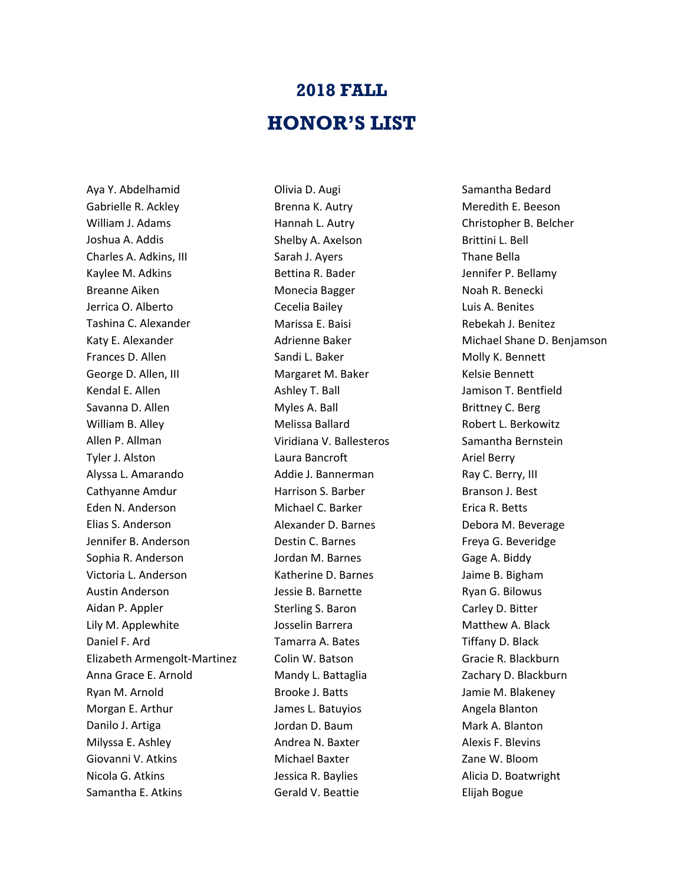## **2018 FALL HONOR'S LIST**

Aya Y. Abdelhamid Gabrielle R. Ackley William J. Adams Joshua A. Addis Charles A. Adkins, III Kaylee M. Adkins Breanne Aiken Jerrica O. Alberto Tashina C. Alexander Katy E. Alexander Frances D. Allen George D. Allen, III Kendal E. Allen Savanna D. Allen William B. Alley Allen P. Allman Tyler J. Alston Alyssa L. Amarando Cathyanne Amdur Eden N. Anderson Elias S. Anderson Jennifer B. Anderson Sophia R. Anderson Victoria L. Anderson Austin Anderson Aidan P. Appler Lily M. Applewhite Daniel F. Ard Elizabeth Armengolt-Martinez Anna Grace E. Arnold Ryan M. Arnold Morgan E. Arthur Danilo J. Artiga Milyssa E. Ashley Giovanni V. Atkins Nicola G. Atkins Samantha E. Atkins

Olivia D. Augi Brenna K. Autry Hannah L. Autry Shelby A. Axelson Sarah J. Ayers Bettina R. Bader Monecia Bagger Cecelia Bailey Marissa E. Baisi Adrienne Baker Sandi L. Baker Margaret M. Baker Ashley T. Ball Myles A. Ball Melissa Ballard Viridiana V. Ballesteros Laura Bancroft Addie J. Bannerman Harrison S. Barber Michael C. Barker Alexander D. Barnes Destin C. Barnes Jordan M. Barnes Katherine D. Barnes Jessie B. Barnette Sterling S. Baron Josselin Barrera Tamarra A. Bates Colin W. Batson Mandy L. Battaglia Brooke J. Batts James L. Batuyios Jordan D. Baum Andrea N. Baxter Michael Baxter Jessica R. Baylies Gerald V. Beattie

Samantha Bedard Meredith E. Beeson Christopher B. Belcher Brittini L. Bell Thane Bella Jennifer P. Bellamy Noah R. Benecki Luis A. Benites Rebekah J. Benitez Michael Shane D. Benjamson Molly K. Bennett Kelsie Bennett Jamison T. Bentfield Brittney C. Berg Robert L. Berkowitz Samantha Bernstein Ariel Berry Ray C. Berry, III Branson J. Best Erica R. Betts Debora M. Beverage Freya G. Beveridge Gage A. Biddy Jaime B. Bigham Ryan G. Bilowus Carley D. Bitter Matthew A. Black Tiffany D. Black Gracie R. Blackburn Zachary D. Blackburn Jamie M. Blakeney Angela Blanton Mark A. Blanton Alexis F. Blevins Zane W. Bloom Alicia D. Boatwright Elijah Bogue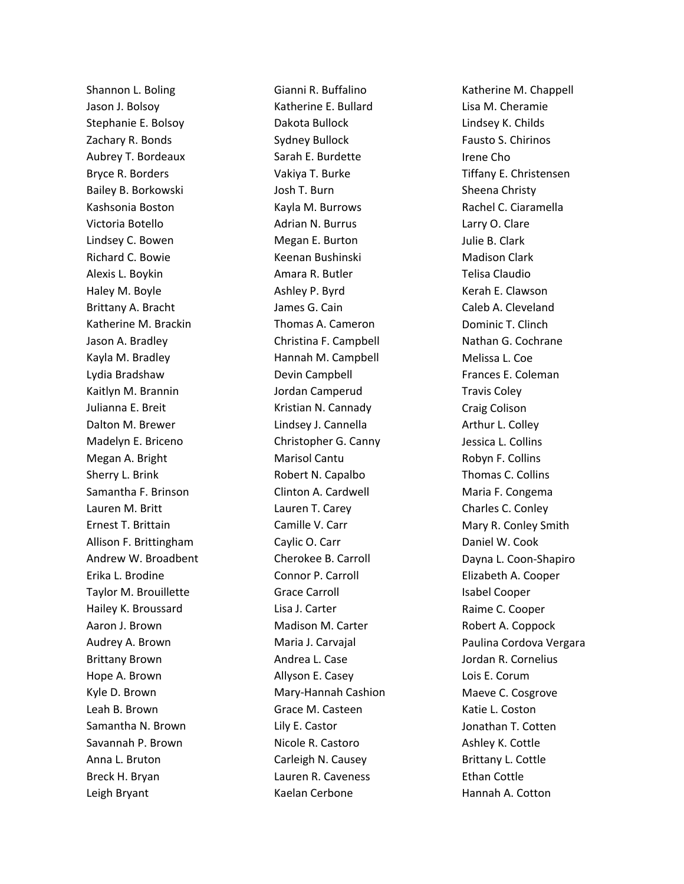Shannon L. Boling Jason J. Bolsoy Stephanie E. Bolsoy Zachary R. Bonds Aubrey T. Bordeaux Bryce R. Borders Bailey B. Borkowski Kashsonia Boston Victoria Botello Lindsey C. Bowen Richard C. Bowie Alexis L. Boykin Haley M. Boyle Brittany A. Bracht Katherine M. Brackin Jason A. Bradley Kayla M. Bradley Lydia Bradshaw Kaitlyn M. Brannin Julianna E. Breit Dalton M. Brewer Madelyn E. Briceno Megan A. Bright Sherry L. Brink Samantha F. Brinson Lauren M. Britt Ernest T. Brittain Allison F. Brittingham Andrew W. Broadbent Erika L. Brodine Taylor M. Brouillette Hailey K. Broussard Aaron J. Brown Audrey A. Brown Brittany Brown Hope A. Brown Kyle D. Brown Leah B. Brown Samantha N. Brown Savannah P. Brown Anna L. Bruton Breck H. Bryan Leigh Bryant

Gianni R. Buffalino Katherine E. Bullard Dakota Bullock Sydney Bullock Sarah E. Burdette Vakiya T. Burke Josh T. Burn Kayla M. Burrows Adrian N. Burrus Megan E. Burton Keenan Bushinski Amara R. Butler Ashley P. Byrd James G. Cain Thomas A. Cameron Christina F. Campbell Hannah M. Campbell Devin Campbell Jordan Camperud Kristian N. Cannady Lindsey J. Cannella Christopher G. Canny Marisol Cantu Robert N. Capalbo Clinton A. Cardwell Lauren T. Carey Camille V. Carr Caylic O. Carr Cherokee B. Carroll Connor P. Carroll Grace Carroll Lisa J. Carter Madison M. Carter Maria J. Carvajal Andrea L. Case Allyson E. Casey Mary-Hannah Cashion Grace M. Casteen Lily E. Castor Nicole R. Castoro Carleigh N. Causey Lauren R. Caveness Kaelan Cerbone

Katherine M. Chappell Lisa M. Cheramie Lindsey K. Childs Fausto S. Chirinos Irene Cho Tiffany E. Christensen Sheena Christy Rachel C. Ciaramella Larry O. Clare Julie B. Clark Madison Clark Telisa Claudio Kerah E. Clawson Caleb A. Cleveland Dominic T. Clinch Nathan G. Cochrane Melissa L. Coe Frances E. Coleman Travis Coley Craig Colison Arthur L. Colley Jessica L. Collins Robyn F. Collins Thomas C. Collins Maria F. Congema Charles C. Conley Mary R. Conley Smith Daniel W. Cook Dayna L. Coon-Shapiro Elizabeth A. Cooper Isabel Cooper Raime C. Cooper Robert A. Coppock Paulina Cordova Vergara Jordan R. Cornelius Lois E. Corum Maeve C. Cosgrove Katie L. Coston Jonathan T. Cotten Ashley K. Cottle Brittany L. Cottle Ethan Cottle Hannah A. Cotton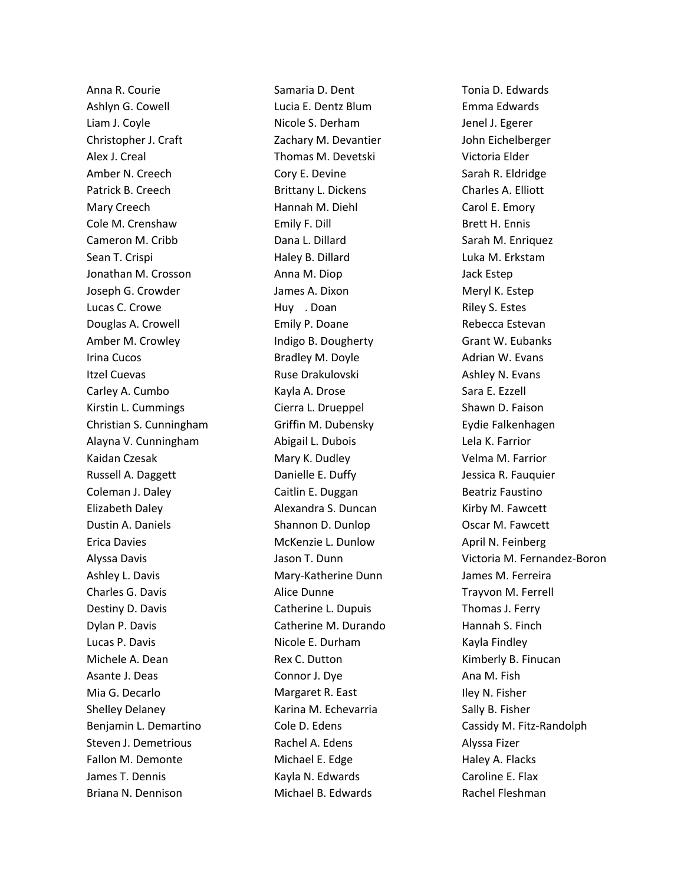Anna R. Courie Ashlyn G. Cowell Liam J. Coyle Christopher J. Craft Alex J. Creal Amber N. Creech Patrick B. Creech Mary Creech Cole M. Crenshaw Cameron M. Cribb Sean T. Crispi Jonathan M. Crosson Joseph G. Crowder Lucas C. Crowe Douglas A. Crowell Amber M. Crowley Irina Cucos Itzel Cuevas Carley A. Cumbo Kirstin L. Cummings Christian S. Cunningham Alayna V. Cunningham Kaidan Czesak Russell A. Daggett Coleman J. Daley Elizabeth Daley Dustin A. Daniels Erica Davies Alyssa Davis Ashley L. Davis Charles G. Davis Destiny D. Davis Dylan P. Davis Lucas P. Davis Michele A. Dean Asante J. Deas Mia G. Decarlo Shelley Delaney Benjamin L. Demartino Steven J. Demetrious Fallon M. Demonte James T. Dennis Briana N. Dennison

Samaria D. Dent Lucia E. Dentz Blum Nicole S. Derham Zachary M. Devantier Thomas M. Devetski Cory E. Devine Brittany L. Dickens Hannah M. Diehl Emily F. Dill Dana L. Dillard Haley B. Dillard Anna M. Diop James A. Dixon Huy . Doan Emily P. Doane Indigo B. Dougherty Bradley M. Doyle Ruse Drakulovski Kayla A. Drose Cierra L. Drueppel Griffin M. Dubensky Abigail L. Dubois Mary K. Dudley Danielle E. Duffy Caitlin E. Duggan Alexandra S. Duncan Shannon D. Dunlop McKenzie L. Dunlow Jason T. Dunn Mary-Katherine Dunn Alice Dunne Catherine L. Dupuis Catherine M. Durando Nicole E. Durham Rex C. Dutton Connor J. Dye Margaret R. East Karina M. Echevarria Cole D. Edens Rachel A. Edens Michael E. Edge Kayla N. Edwards Michael B. Edwards

Tonia D. Edwards Emma Edwards Jenel J. Egerer John Eichelberger Victoria Elder Sarah R. Eldridge Charles A. Elliott Carol E. Emory Brett H. Ennis Sarah M. Enriquez Luka M. Erkstam Jack Estep Meryl K. Estep Riley S. Estes Rebecca Estevan Grant W. Eubanks Adrian W. Evans Ashley N. Evans Sara E. Ezzell Shawn D. Faison Eydie Falkenhagen Lela K. Farrior Velma M. Farrior Jessica R. Fauquier Beatriz Faustino Kirby M. Fawcett Oscar M. Fawcett April N. Feinberg Victoria M. Fernandez-Boron James M. Ferreira Trayvon M. Ferrell Thomas J. Ferry Hannah S. Finch Kayla Findley Kimberly B. Finucan Ana M. Fish Iley N. Fisher Sally B. Fisher Cassidy M. Fitz-Randolph Alyssa Fizer Haley A. Flacks Caroline E. Flax Rachel Fleshman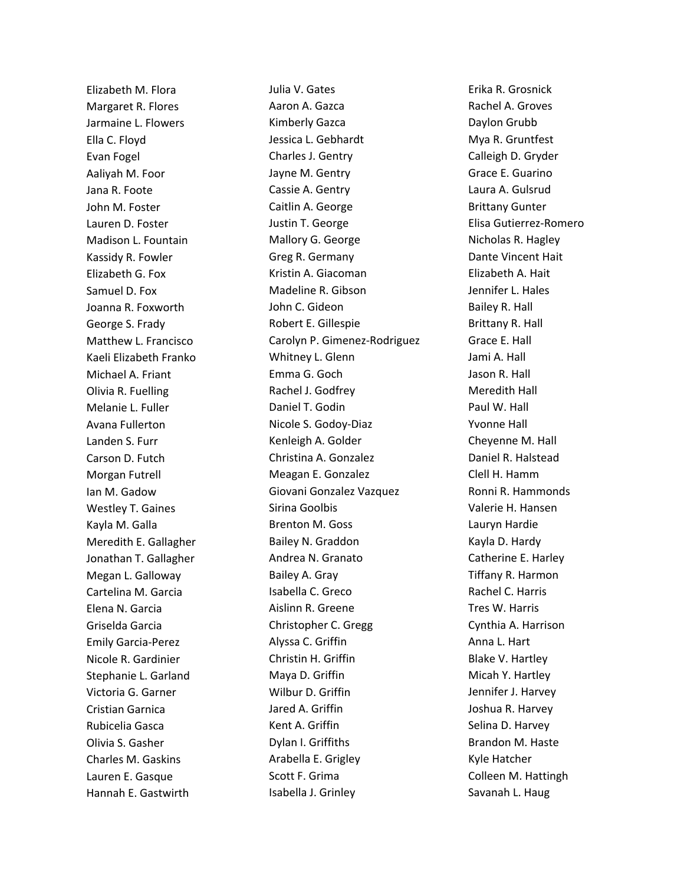Elizabeth M. Flora Margaret R. Flores Jarmaine L. Flowers Ella C. Floyd Evan Fogel Aaliyah M. Foor Jana R. Foote John M. Foster Lauren D. Foster Madison L. Fountain Kassidy R. Fowler Elizabeth G. Fox Samuel D. Fox Joanna R. Foxworth George S. Frady Matthew L. Francisco Kaeli Elizabeth Franko Michael A. Friant Olivia R. Fuelling Melanie L. Fuller Avana Fullerton Landen S. Furr Carson D. Futch Morgan Futrell Ian M. Gadow Westley T. Gaines Kayla M. Galla Meredith E. Gallagher Jonathan T. Gallagher Megan L. Galloway Cartelina M. Garcia Elena N. Garcia Griselda Garcia Emily Garcia-Perez Nicole R. Gardinier Stephanie L. Garland Victoria G. Garner Cristian Garnica Rubicelia Gasca Olivia S. Gasher Charles M. Gaskins Lauren E. Gasque Hannah E. Gastwirth

Julia V. Gates Aaron A. Gazca Kimberly Gazca Jessica L. Gebhardt Charles J. Gentry Jayne M. Gentry Cassie A. Gentry Caitlin A. George Justin T. George Mallory G. George Greg R. Germany Kristin A. Giacoman Madeline R. Gibson John C. Gideon Robert E. Gillespie Carolyn P. Gimenez-Rodriguez Whitney L. Glenn Emma G. Goch Rachel J. Godfrey Daniel T. Godin Nicole S. Godoy-Diaz Kenleigh A. Golder Christina A. Gonzalez Meagan E. Gonzalez Giovani Gonzalez Vazquez Sirina Goolbis Brenton M. Goss Bailey N. Graddon Andrea N. Granato Bailey A. Gray Isabella C. Greco Aislinn R. Greene Christopher C. Gregg Alyssa C. Griffin Christin H. Griffin Maya D. Griffin Wilbur D. Griffin Jared A. Griffin Kent A. Griffin Dylan I. Griffiths Arabella E. Grigley Scott F. Grima Isabella J. Grinley

Erika R. Grosnick Rachel A. Groves Daylon Grubb Mya R. Gruntfest Calleigh D. Gryder Grace E. Guarino Laura A. Gulsrud Brittany Gunter Elisa Gutierrez-Romero Nicholas R. Hagley Dante Vincent Hait Elizabeth A. Hait Jennifer L. Hales Bailey R. Hall Brittany R. Hall Grace E. Hall Jami A. Hall Jason R. Hall Meredith Hall Paul W. Hall Yvonne Hall Cheyenne M. Hall Daniel R. Halstead Clell H. Hamm Ronni R. Hammonds Valerie H. Hansen Lauryn Hardie Kayla D. Hardy Catherine E. Harley Tiffany R. Harmon Rachel C. Harris Tres W. Harris Cynthia A. Harrison Anna L. Hart Blake V. Hartley Micah Y. Hartley Jennifer J. Harvey Joshua R. Harvey Selina D. Harvey Brandon M. Haste Kyle Hatcher Colleen M. Hattingh Savanah L. Haug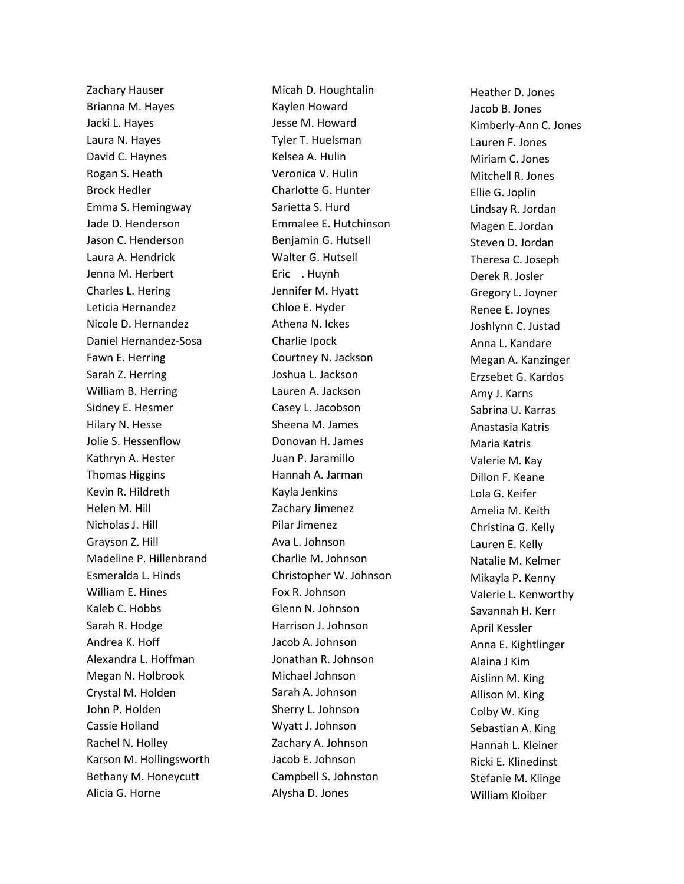Zachary Hauser Brianna M. Hayes Jacki L. Hayes Laura N. Hayes David C. Haynes Rogan S. Heath Brock Hedler Emma S. Hemingway Jade D. Henderson Jason C. Henderson Laura A. Hendrick Jenna M. Herbert Charles L. Hering Leticia Hernandez Nicole D. Hernandez Daniel Hernandez-Sosa Fawn E. Herring Sarah Z. Herring William B. Herring Sidney E. Hesmer Hilary N. Hesse Jolie S. Hessenflow Kathryn A. Hester Thomas Higgins Kevin R. Hildreth Helen M. Hill Nicholas J. Hill Grayson Z. Hill Madeline P. Hillenbrand Esmeralda L. Hinds William E. Hines Kaleb C. Hobbs Sarah R. Hodge Andrea K. Hoff Alexandra L. Hoffman Megan N. Holbrook Crystal M. Holden John P. Holden Cassie Holland Rachel N. Holley Karson M. Hollingsworth Bethany M. Honeycutt Alicia G. Horne

Micah D. Houghtalin Kaylen Howard Jesse M. Howard Tyler T. Huelsman Kelsea A. Hulin Veronica V. Hulin Charlotte G. Hunter Sarietta S. Hurd Emmalee E. Hutchinson Benjamin G. Hutsell Walter G. Hutsell Eric . Huvnh Jennifer M. Hyatt Chloe E. Hyder Athena N. Ickes Charlie Ipock Courtney N. Jackson Joshua L. Jackson Lauren A. Jackson Casey L. Jacobson Sheena M. James Donovan H. James Juan P. Jaramillo Hannah A. Jarman Kayla Jenkins Zachary Jimenez Pilar Jimenez Ava L. Johnson Charlie M. Johnson Christopher W. Johnson Fox R. Johnson Glenn N. Johnson Harrison J. Johnson Jacob A. Johnson Jonathan R. Johnson Michael Johnson Sarah A. Johnson Sherry L. Johnson Wyatt J. Johnson Zachary A. Johnson Jacob E. Johnson Campbell S. Johnston Alysha D. Jones

Heather D. Jones Jacob B. Jones Kimberly-Ann C. Jones Lauren F. Jones Miriam C. Jones Mitchell R. Jones Ellie G. Joplin Lindsay R. Jordan Magen E. Jordan Steven D. Jordan Theresa C. Joseph Derek R. Josler Gregory L. Joyner Renee E. Joynes Joshlynn C. Justad Anna L. Kandare Megan A. Kanzinger Erzsebet G. Kardos Amy J. Karns Sabrina U. Karras Anastasia Katris Maria Katris Valerie M. Kay Dillon F. Keane Lola G. Keifer Amelia M. Keith Christina G. Kelly Lauren E. Kelly Natalie M. Kelmer Mikayla P. Kenny Valerie L. Kenworthy Savannah H. Kerr April Kessler Anna E. Kightlinger Alaina J Kim Aislinn M. King Allison M. King Colby W. King Sebastian A. King Hannah L. Kleiner Ricki E. Klinedinst Stefanie M. Klinge William Kloiber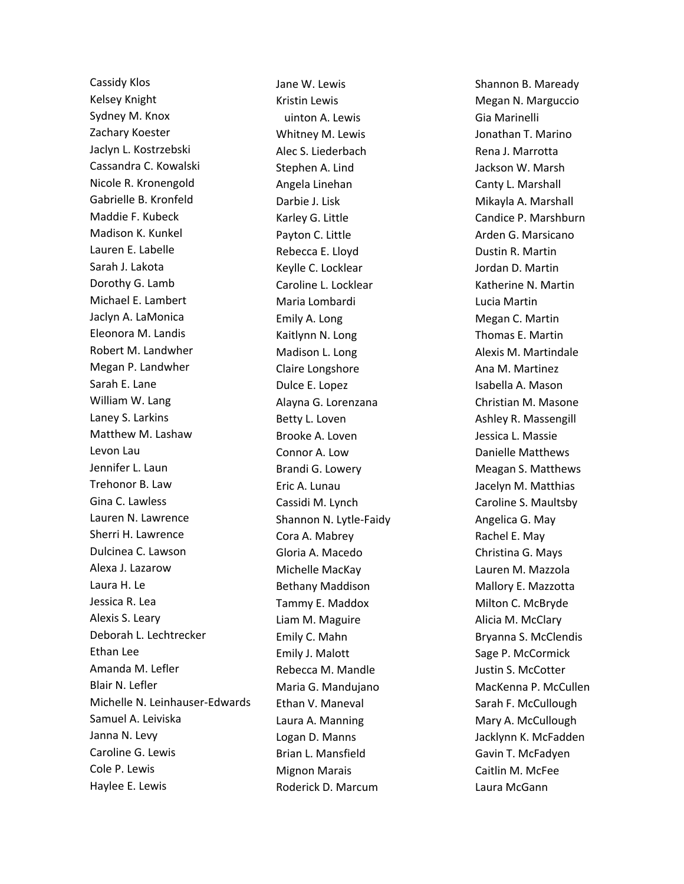Cassidy Klos Kelsey Knight Sydney M. Knox Zachary Koester Jaclyn L. Kostrzebski Cassandra C. Kowalski Nicole R. Kronengold Gabrielle B. Kronfeld Maddie F. Kubeck Madison K. Kunkel Lauren E. Labelle Sarah J. Lakota Dorothy G. Lamb Michael E. Lambert Jaclyn A. LaMonica Eleonora M. Landis Robert M. Landwher Megan P. Landwher Sarah E. Lane William W. Lang Laney S. Larkins Matthew M. Lashaw Levon Lau Jennifer L. Laun Trehonor B. Law Gina C. Lawless Lauren N. Lawrence Sherri H. Lawrence Dulcinea C. Lawson Alexa J. Lazarow Laura H. Le Jessica R. Lea Alexis S. Leary Deborah L. Lechtrecker Ethan Lee Amanda M. Lefler Blair N. Lefler Michelle N. Leinhauser-Edwards Samuel A. Leiviska Janna N. Levy Caroline G. Lewis Cole P. Lewis Haylee E. Lewis

Jane W. Lewis Kristin Lewis uinton A. Lewis Whitney M. Lewis Alec S. Liederbach Stephen A. Lind Angela Linehan Darbie J. Lisk Karley G. Little Payton C. Little Rebecca E. Lloyd Keylle C. Locklear Caroline L. Locklear Maria Lombardi Emily A. Long Kaitlynn N. Long Madison L. Long Claire Longshore Dulce E. Lopez Alayna G. Lorenzana Betty L. Loven Brooke A. Loven Connor A. Low Brandi G. Lowery Eric A. Lunau Cassidi M. Lynch Shannon N. Lytle-Faidy Cora A. Mabrey Gloria A. Macedo Michelle MacKay Bethany Maddison Tammy E. Maddox Liam M. Maguire Emily C. Mahn Emily J. Malott Rebecca M. Mandle Maria G. Mandujano Ethan V. Maneval Laura A. Manning Logan D. Manns Brian L. Mansfield Mignon Marais Roderick D. Marcum

Shannon B. Maready Megan N. Marguccio Gia Marinelli Jonathan T. Marino Rena J. Marrotta Jackson W. Marsh Canty L. Marshall Mikayla A. Marshall Candice P. Marshburn Arden G. Marsicano Dustin R. Martin Jordan D. Martin Katherine N. Martin Lucia Martin Megan C. Martin Thomas E. Martin Alexis M. Martindale Ana M. Martinez Isabella A. Mason Christian M. Masone Ashley R. Massengill Jessica L. Massie Danielle Matthews Meagan S. Matthews Jacelyn M. Matthias Caroline S. Maultsby Angelica G. May Rachel E. May Christina G. Mays Lauren M. Mazzola Mallory E. Mazzotta Milton C. McBryde Alicia M. McClary Bryanna S. McClendis Sage P. McCormick Justin S. McCotter MacKenna P. McCullen Sarah F. McCullough Mary A. McCullough Jacklynn K. McFadden Gavin T. McFadyen Caitlin M. McFee Laura McGann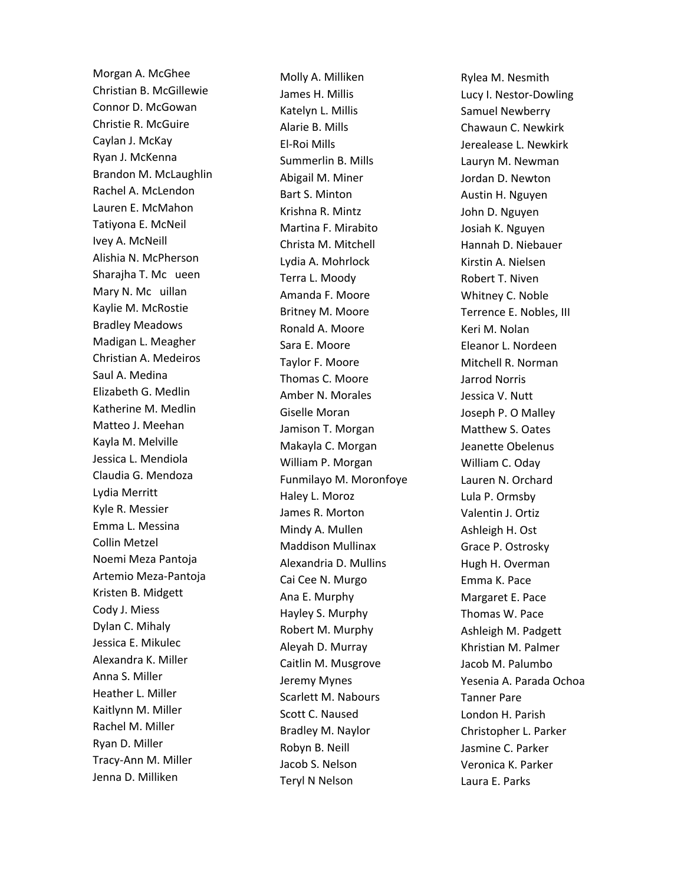Morgan A. McGhee Christian B. McGillewie Connor D. McGowan Christie R. McGuire Caylan J. McKay Ryan J. McKenna Brandon M. McLaughlin Rachel A. McLendon Lauren E. McMahon Tatiyona E. McNeil Ivey A. McNeill Alishia N. McPherson Sharajha T. Mc ueen Mary N. Mc uillan Kaylie M. McRostie Bradley Meadows Madigan L. Meagher Christian A. Medeiros Saul A. Medina Elizabeth G. Medlin Katherine M. Medlin Matteo J. Meehan Kayla M. Melville Jessica L. Mendiola Claudia G. Mendoza Lydia Merritt Kyle R. Messier Emma L. Messina Collin Metzel Noemi Meza Pantoja Artemio Meza-Pantoja Kristen B. Midgett Cody J. Miess Dylan C. Mihaly Jessica E. Mikulec Alexandra K. Miller Anna S. Miller Heather L. Miller Kaitlynn M. Miller Rachel M. Miller Ryan D. Miller Tracy-Ann M. Miller Jenna D. Milliken

Molly A. Milliken James H. Millis Katelyn L. Millis Alarie B. Mills El-Roi Mills Summerlin B. Mills Abigail M. Miner Bart S. Minton Krishna R. Mintz Martina F. Mirabito Christa M. Mitchell Lydia A. Mohrlock Terra L. Moody Amanda F. Moore Britney M. Moore Ronald A. Moore Sara E. Moore Taylor F. Moore Thomas C. Moore Amber N. Morales Giselle Moran Jamison T. Morgan Makayla C. Morgan William P. Morgan Funmilayo M. Moronfoye Haley L. Moroz James R. Morton Mindy A. Mullen Maddison Mullinax Alexandria D. Mullins Cai Cee N. Murgo Ana E. Murphy Hayley S. Murphy Robert M. Murphy Aleyah D. Murray Caitlin M. Musgrove Jeremy Mynes Scarlett M. Nabours Scott C. Naused Bradley M. Naylor Robyn B. Neill Jacob S. Nelson Teryl N Nelson

Rylea M. Nesmith Lucy I. Nestor-Dowling Samuel Newberry Chawaun C. Newkirk Jerealease L. Newkirk Lauryn M. Newman Jordan D. Newton Austin H. Nguyen John D. Nguyen Josiah K. Nguyen Hannah D. Niebauer Kirstin A. Nielsen Robert T. Niven Whitney C. Noble Terrence E. Nobles, III Keri M. Nolan Eleanor L. Nordeen Mitchell R. Norman Jarrod Norris Jessica V. Nutt Joseph P. O Malley Matthew S. Oates Jeanette Obelenus William C. Oday Lauren N. Orchard Lula P. Ormsby Valentin J. Ortiz Ashleigh H. Ost Grace P. Ostrosky Hugh H. Overman Emma K. Pace Margaret E. Pace Thomas W. Pace Ashleigh M. Padgett Khristian M. Palmer Jacob M. Palumbo Yesenia A. Parada Ochoa Tanner Pare London H. Parish Christopher L. Parker Jasmine C. Parker Veronica K. Parker Laura E. Parks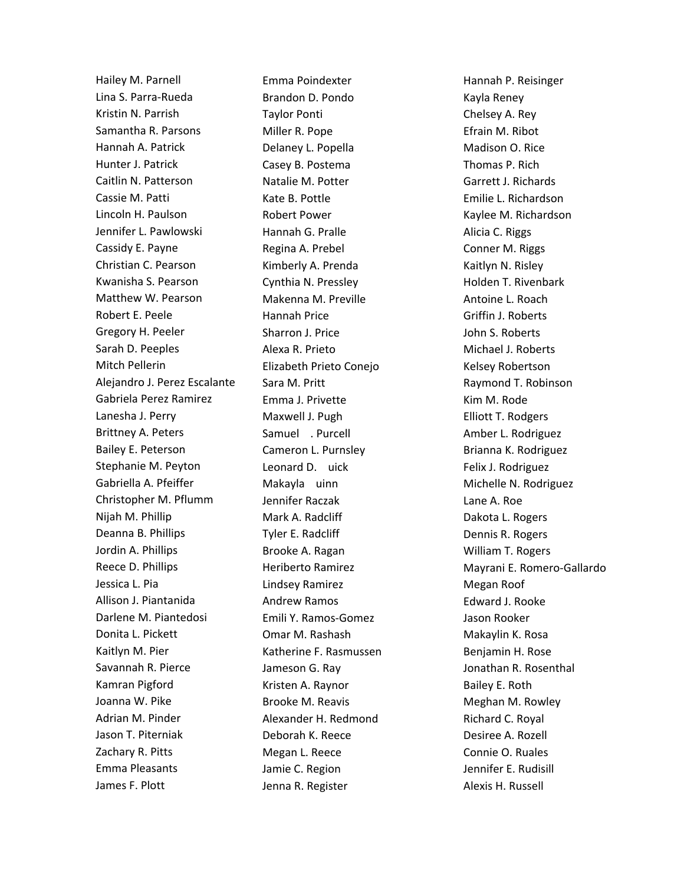Hailey M. Parnell Lina S. Parra-Rueda Kristin N. Parrish Samantha R. Parsons Hannah A. Patrick Hunter J. Patrick Caitlin N. Patterson Cassie M. Patti Lincoln H. Paulson Jennifer L. Pawlowski Cassidy E. Payne Christian C. Pearson Kwanisha S. Pearson Matthew W. Pearson Robert E. Peele Gregory H. Peeler Sarah D. Peeples Mitch Pellerin Alejandro J. Perez Escalante Gabriela Perez Ramirez Lanesha J. Perry Brittney A. Peters Bailey E. Peterson Stephanie M. Peyton Gabriella A. Pfeiffer Christopher M. Pflumm Nijah M. Phillip Deanna B. Phillips Jordin A. Phillips Reece D. Phillips Jessica L. Pia Allison J. Piantanida Darlene M. Piantedosi Donita L. Pickett Kaitlyn M. Pier Savannah R. Pierce Kamran Pigford Joanna W. Pike Adrian M. Pinder Jason T. Piterniak Zachary R. Pitts Emma Pleasants James F. Plott

Emma Poindexter Brandon D. Pondo Taylor Ponti Miller R. Pope Delaney L. Popella Casey B. Postema Natalie M. Potter Kate B. Pottle Robert Power Hannah G. Pralle Regina A. Prebel Kimberly A. Prenda Cynthia N. Pressley Makenna M. Preville Hannah Price Sharron J. Price Alexa R. Prieto Elizabeth Prieto Conejo Sara M. Pritt Emma J. Privette Maxwell J. Pugh Samuel . Purcell Cameron L. Purnsley Leonard D. uick Makayla uinn Jennifer Raczak Mark A. Radcliff Tyler E. Radcliff Brooke A. Ragan Heriberto Ramirez Lindsey Ramirez Andrew Ramos Emili Y. Ramos-Gomez Omar M. Rashash Katherine F. Rasmussen Jameson G. Ray Kristen A. Raynor Brooke M. Reavis Alexander H. Redmond Deborah K. Reece Megan L. Reece Jamie C. Region Jenna R. Register

Hannah P. Reisinger Kayla Reney Chelsey A. Rey Efrain M. Ribot Madison O. Rice Thomas P. Rich Garrett J. Richards Emilie L. Richardson Kaylee M. Richardson Alicia C. Riggs Conner M. Riggs Kaitlyn N. Risley Holden T. Rivenbark Antoine L. Roach Griffin J. Roberts John S. Roberts Michael J. Roberts Kelsey Robertson Raymond T. Robinson Kim M. Rode Elliott T. Rodgers Amber L. Rodriguez Brianna K. Rodriguez Felix J. Rodriguez Michelle N. Rodriguez Lane A. Roe Dakota L. Rogers Dennis R. Rogers William T. Rogers Mayrani E. Romero-Gallardo Megan Roof Edward J. Rooke Jason Rooker Makaylin K. Rosa Benjamin H. Rose Jonathan R. Rosenthal Bailey E. Roth Meghan M. Rowley Richard C. Royal Desiree A. Rozell Connie O. Ruales Jennifer E. Rudisill Alexis H. Russell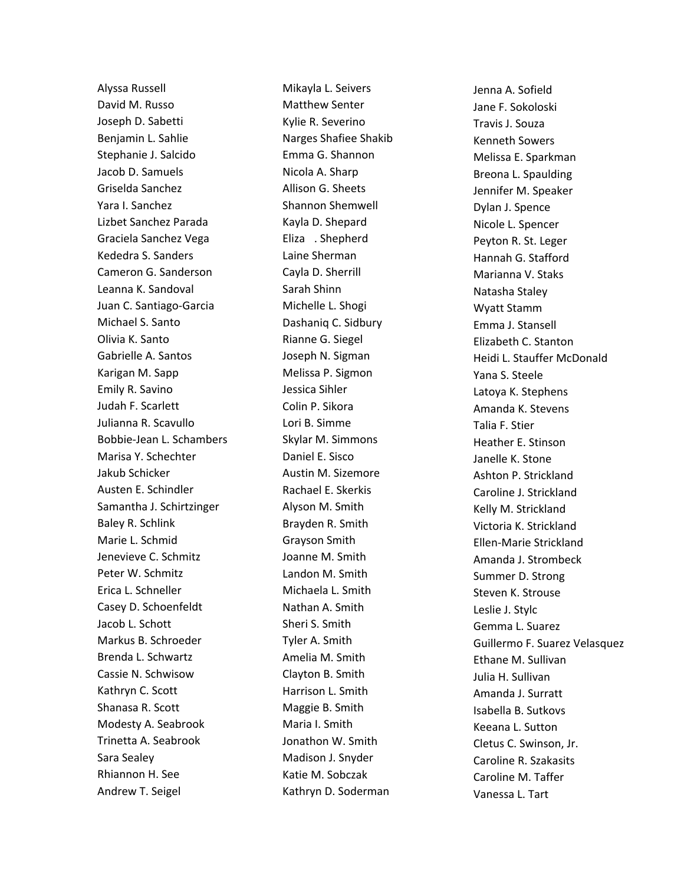Alyssa Russell David M. Russo Joseph D. Sabetti Benjamin L. Sahlie Stephanie J. Salcido Jacob D. Samuels Griselda Sanchez Yara I. Sanchez Lizbet Sanchez Parada Graciela Sanchez Vega Kededra S. Sanders Cameron G. Sanderson Leanna K. Sandoval Juan C. Santiago-Garcia Michael S. Santo Olivia K. Santo Gabrielle A. Santos Karigan M. Sapp Emily R. Savino Judah F. Scarlett Julianna R. Scavullo Bobbie-Jean L. Schambers Marisa Y. Schechter Jakub Schicker Austen E. Schindler Samantha J. Schirtzinger Baley R. Schlink Marie L. Schmid Jenevieve C. Schmitz Peter W. Schmitz Erica L. Schneller Casey D. Schoenfeldt Jacob L. Schott Markus B. Schroeder Brenda L. Schwartz Cassie N. Schwisow Kathryn C. Scott Shanasa R. Scott Modesty A. Seabrook Trinetta A. Seabrook Sara Sealey Rhiannon H. See Andrew T. Seigel

Mikayla L. Seivers Matthew Senter Kylie R. Severino Narges Shafiee Shakib Emma G. Shannon Nicola A. Sharp Allison G. Sheets Shannon Shemwell Kayla D. Shepard Eliza . Shepherd Laine Sherman Cayla D. Sherrill Sarah Shinn Michelle L. Shogi Dashaniq C. Sidbury Rianne G. Siegel Joseph N. Sigman Melissa P. Sigmon Jessica Sihler Colin P. Sikora Lori B. Simme Skylar M. Simmons Daniel E. Sisco Austin M. Sizemore Rachael E. Skerkis Alyson M. Smith Brayden R. Smith Grayson Smith Joanne M. Smith Landon M. Smith Michaela L. Smith Nathan A. Smith Sheri S. Smith Tyler A. Smith Amelia M. Smith Clayton B. Smith Harrison L. Smith Maggie B. Smith Maria I. Smith Jonathon W. Smith Madison J. Snyder Katie M. Sobczak Kathryn D. Soderman

Jenna A. Sofield Jane F. Sokoloski Travis J. Souza Kenneth Sowers Melissa E. Sparkman Breona L. Spaulding Jennifer M. Speaker Dylan J. Spence Nicole L. Spencer Peyton R. St. Leger Hannah G. Stafford Marianna V. Staks Natasha Staley Wyatt Stamm Emma J. Stansell Elizabeth C. Stanton Heidi L. Stauffer McDonald Yana S. Steele Latoya K. Stephens Amanda K. Stevens Talia F. Stier Heather E. Stinson Janelle K. Stone Ashton P. Strickland Caroline J. Strickland Kelly M. Strickland Victoria K. Strickland Ellen-Marie Strickland Amanda J. Strombeck Summer D. Strong Steven K. Strouse Leslie J. Stylc Gemma L. Suarez Guillermo F. Suarez Velasquez Ethane M. Sullivan Julia H. Sullivan Amanda J. Surratt Isabella B. Sutkovs Keeana L. Sutton Cletus C. Swinson, Jr. Caroline R. Szakasits Caroline M. Taffer Vanessa L. Tart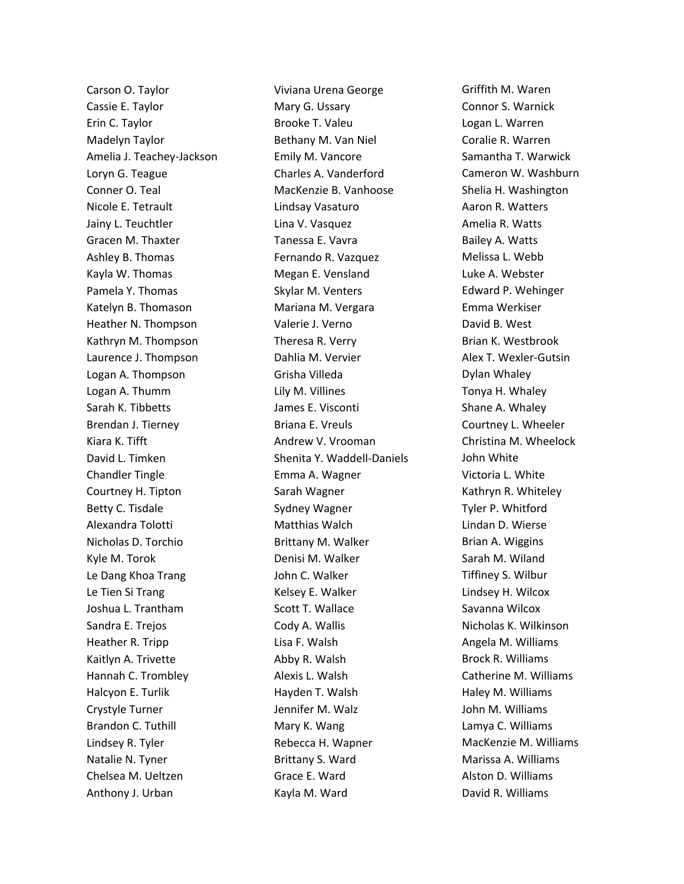Carson O. Taylor Cassie E. Taylor Erin C. Taylor Madelyn Taylor Amelia J. Teachey-Jackson Loryn G. Teague Conner O. Teal Nicole E. Tetrault Jainy L. Teuchtler Gracen M. Thaxter Ashley B. Thomas Kayla W. Thomas Pamela Y. Thomas Katelyn B. Thomason Heather N. Thompson Kathryn M. Thompson Laurence J. Thompson Logan A. Thompson Logan A. Thumm Sarah K. Tibbetts Brendan J. Tierney Kiara K. Tifft David L. Timken Chandler Tingle Courtney H. Tipton Betty C. Tisdale Alexandra Tolotti Nicholas D. Torchio Kyle M. Torok Le Dang Khoa Trang Le Tien Si Trang Joshua L. Trantham Sandra E. Trejos Heather R. Tripp Kaitlyn A. Trivette Hannah C. Trombley Halcyon E. Turlik Crystyle Turner Brandon C. Tuthill Lindsey R. Tyler Natalie N. Tyner Chelsea M. Ueltzen Anthony J. Urban

Viviana Urena George Mary G. Ussary Brooke T. Valeu Bethany M. Van Niel Emily M. Vancore Charles A. Vanderford MacKenzie B. Vanhoose Lindsay Vasaturo Lina V. Vasquez Tanessa E. Vavra Fernando R. Vazquez Megan E. Vensland Skylar M. Venters Mariana M. Vergara Valerie J. Verno Theresa R. Verry Dahlia M. Vervier Grisha Villeda Lily M. Villines James E. Visconti Briana E. Vreuls Andrew V. Vrooman Shenita Y. Waddell-Daniels Emma A. Wagner Sarah Wagner Sydney Wagner Matthias Walch Brittany M. Walker Denisi M. Walker John C. Walker Kelsey E. Walker Scott T. Wallace Cody A. Wallis Lisa F. Walsh Abby R. Walsh Alexis L. Walsh Hayden T. Walsh Jennifer M. Walz Mary K. Wang Rebecca H. Wapner Brittany S. Ward Grace E. Ward Kayla M. Ward

Griffith M. Waren Connor S. Warnick Logan L. Warren Coralie R. Warren Samantha T. Warwick Cameron W. Washburn Shelia H. Washington Aaron R. Watters Amelia R. Watts Bailey A. Watts Melissa L. Webb Luke A. Webster Edward P. Wehinger Emma Werkiser David B. West Brian K. Westbrook Alex T. Wexler-Gutsin Dylan Whaley Tonya H. Whaley Shane A. Whaley Courtney L. Wheeler Christina M. Wheelock John White Victoria L. White Kathryn R. Whiteley Tyler P. Whitford Lindan D. Wierse Brian A. Wiggins Sarah M. Wiland Tiffiney S. Wilbur Lindsey H. Wilcox Savanna Wilcox Nicholas K. Wilkinson Angela M. Williams Brock R. Williams Catherine M. Williams Haley M. Williams John M. Williams Lamya C. Williams MacKenzie M. Williams Marissa A. Williams Alston D. Williams David R. Williams